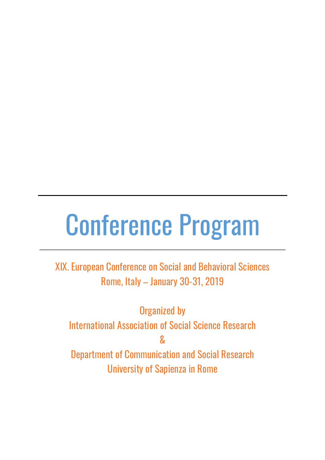# Conference Program

\_\_\_\_\_\_\_\_\_\_\_\_\_\_\_\_\_\_\_\_\_\_\_\_\_\_\_\_\_\_\_\_\_\_\_\_\_\_\_\_\_\_\_\_\_\_\_\_\_\_\_\_\_\_\_\_\_\_\_\_\_\_\_\_\_\_\_\_\_\_\_\_\_\_\_\_\_\_\_\_\_\_\_\_\_\_\_\_\_\_\_\_\_\_\_\_\_\_\_\_\_\_\_\_\_\_\_\_\_\_\_\_\_\_\_\_\_\_\_\_\_\_\_\_\_\_\_\_\_\_\_

XIX. European Conference on Social and Behavioral Sciences Rome, Italy – January 30-31, 2019

Organized by International Association of Social Science Research & Department of Communication and Social Research University of Sapienza in Rome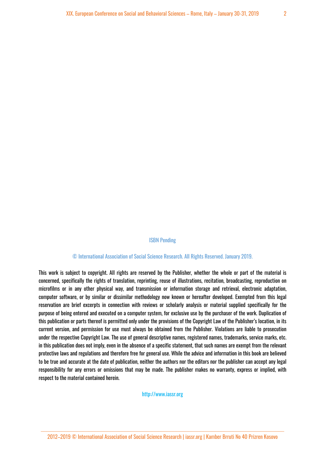#### ISBN Pending

#### © International Association of Social Science Research. All Rights Reserved. January 2019.

This work is subject to copyright. All rights are reserved by the Publisher, whether the whole or part of the material is concerned, specifically the rights of translation, reprinting, reuse of illustrations, recitation, broadcasting, reproduction on microfilms or in any other physical way, and transmission or information storage and retrieval, electronic adaptation, computer software, or by similar or dissimilar methodology now known or hereafter developed. Exempted from this legal reservation are brief excerpts in connection with reviews or scholarly analysis or material supplied specifically for the purpose of being entered and executed on a computer system, for exclusive use by the purchaser of the work. Duplication of this publication or parts thereof is permitted only under the provisions of the Copyright Law of the Publisher's location, in its current version, and permission for use must always be obtained from the Publisher. Violations are liable to prosecution under the respective Copyright Law. The use of general descriptive names, registered names, trademarks, service marks, etc. in this publication does not imply, even in the absence of a specific statement, that such names are exempt from the relevant protective laws and regulations and therefore free for general use. While the advice and information in this book are believed to be true and accurate at the date of publication, neither the authors nor the editors nor the publisher can accept any legal responsibility for any errors or omissions that may be made. The publisher makes no warranty, express or implied, with respect to the material contained herein.

http://www.iassr.org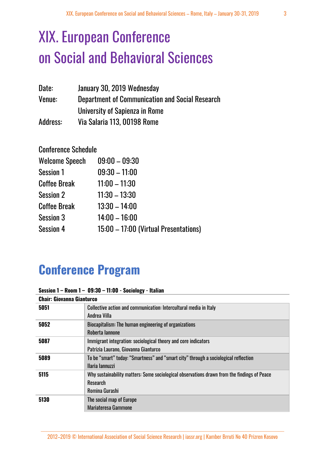## XIX. European Conference on Social and Behavioral Sciences

| Date:    | January 30, 2019 Wednesday                             |
|----------|--------------------------------------------------------|
| Venue:   | <b>Department of Communication and Social Research</b> |
|          | University of Sapienza in Rome                         |
| Address: | Via Salaria 113, 00198 Rome                            |

| <b>Conference Schedule</b> |                                       |
|----------------------------|---------------------------------------|
| <b>Welcome Speech</b>      | $09:00 - 09:30$                       |
| <b>Session 1</b>           | $09:30 - 11:00$                       |
| <b>Coffee Break</b>        | $11:00 - 11:30$                       |
| <b>Session 2</b>           | $11:30 - 13:30$                       |
| <b>Coffee Break</b>        | $13:30 - 14:00$                       |
| Session 3                  | $14:00 - 16:00$                       |
| Session 4                  | 15:00 - 17:00 (Virtual Presentations) |
|                            |                                       |

### **Conference Program**

| Session $1 -$ Room $1 - 09:30 - 11:00 -$ Sociology - Italian |  |  |  |  |
|--------------------------------------------------------------|--|--|--|--|
|--------------------------------------------------------------|--|--|--|--|

| <b>Chair: Giovanna Gianturco</b> |                                                                                             |
|----------------------------------|---------------------------------------------------------------------------------------------|
| 5051                             | Collective action and communication: Intercultural media in Italy                           |
|                                  | Andrea Villa                                                                                |
| 5052                             | Biocapitalism: The human engineering of organizations                                       |
|                                  | Roberta lannone                                                                             |
| 5087                             | Immigrant integration: sociological theory and core indicators                              |
|                                  | Patrizia Laurano, Giovanna Gianturco                                                        |
| 5089                             | To be "smart" today: "Smartness" and "smart city" through a sociological reflection         |
|                                  | Ilaria lannuzzi                                                                             |
| 5115                             | Why sustainability matters: Some sociological observations drawn from the findings of Peace |
|                                  | Research                                                                                    |
|                                  | Romina Gurashi                                                                              |
| 5130                             | The social map of Europe                                                                    |
|                                  | Mariateresa Gammone                                                                         |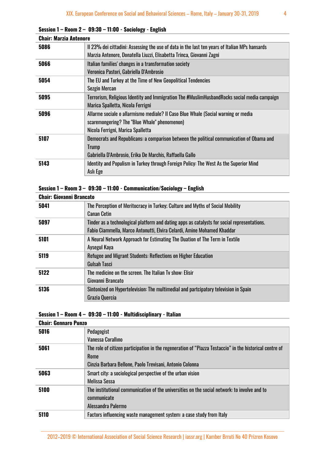| <b>Chair: Marzia Antenore</b> |                                                                                               |
|-------------------------------|-----------------------------------------------------------------------------------------------|
| 5086                          | Il 23% dei cittadini: Assessing the use of data in the last ten years of Italian MPs hansards |
|                               | Marzia Antenore, Donatella Liuzzi, Elisabetta Trinca, Giovanni Zagni                          |
| 5066                          | Italian families' changes in a transformation society                                         |
|                               | Veronica Pastori, Gabriella D'Ambrosio                                                        |
| 5054                          | The EU and Turkey at the Time of New Geopolitical Tendencies                                  |
|                               | Sezgin Mercan                                                                                 |
| 5095                          | Terrorism, Religious Identity and Immigration The #MuslimHusbandRocks social media campaign   |
|                               | Marica Spalletta, Nicola Ferrigni                                                             |
| 5096                          | Allarme sociale o allarmismo mediale? Il Caso Blue Whale (Social warning or media             |
|                               | scaremongering? The "Blue Whale" phenomenon)                                                  |
|                               | Nicola Ferrigni, Marica Spalletta                                                             |
| 5107                          | Democrats and Republicans: a comparison between the political communication of Obama and      |
|                               | <b>Trump</b>                                                                                  |
|                               | Gabriella D'Ambrosio, Erika De Marchis, Raffaella Gallo                                       |
| 5143                          | Identity and Populism in Turkey through Foreign Policy: The West As the Superior Mind         |
|                               | Aslı Ege                                                                                      |

**Session 1 – Room 2 – 09:30 – 11:00 - Sociology - English**

#### **Session 1 – Room 3 – 09:30 – 11:00 - Communication/Sociology – English**

| <b>Chair: Giovanni Brancato</b> |                                                                                             |  |
|---------------------------------|---------------------------------------------------------------------------------------------|--|
| 5041                            | The Perception of Meritocracy in Turkey; Culture and Myths of Social Mobility               |  |
|                                 | <b>Canan Cetin</b>                                                                          |  |
| 5097                            | Tinder as a technological platform and dating apps as catalysts for social representations. |  |
|                                 | Fabio Ciammella, Marco Antonutti, Elvira Celardi, Amine Mohamed Khaddar                     |  |
| 5101                            | A Neural Network Approach for Estimating The Duation of The Term in Textile                 |  |
|                                 | Aysegul Kaya                                                                                |  |
| 5119                            | Refugee and Migrant Students: Reflections on Higher Education                               |  |
|                                 | Gulsah Tasci                                                                                |  |
| 5122                            | The medicine on the screen. The Italian Tv show: Elisir                                     |  |
|                                 | Giovanni Brancato                                                                           |  |
| 5136                            | Sintonized on Hypertelevision: The multimedial and partcipatory television in Spain         |  |
|                                 | Grazia Quercia                                                                              |  |

#### **Session 1 – Room 4 – 09:30 – 11:00 - Multidisciplinary - Italian**

| <b>Chair: Gennaro Punzo</b> |                                                                                                         |  |
|-----------------------------|---------------------------------------------------------------------------------------------------------|--|
| 5016                        | Pedagogist                                                                                              |  |
|                             | Vanessa Corallino                                                                                       |  |
| 5061                        | The role of citizen participation in the regeneration of "Piazza Testaccio" in the historical centre of |  |
|                             | <b>Rome</b>                                                                                             |  |
|                             | Cinzia Barbara Bellone, Paolo Trevisani, Antonio Colonna                                                |  |
| 5063                        | Smart city: a sociological perspective of the urban vision                                              |  |
|                             | Melissa Sessa                                                                                           |  |
| 5100                        | The institutional communication of the universities on the social network: to involve and to            |  |
|                             | communicate                                                                                             |  |
|                             | Alessandra Palermo                                                                                      |  |
| 5110                        | Factors influencing waste management system: a case study from Italy                                    |  |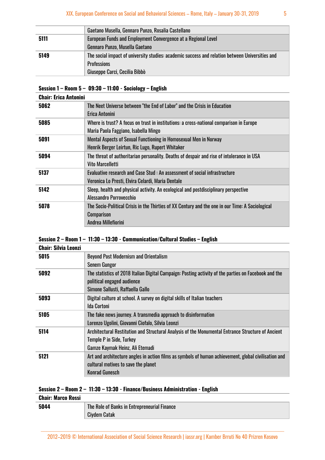|      | Gaetano Musella, Gennaro Punzo, Rosalia Castellano                                              |
|------|-------------------------------------------------------------------------------------------------|
| 5111 | European Funds and Employment Convergence at a Regional Level                                   |
|      | Gennaro Punzo, Musella Gaetano                                                                  |
| 5149 | The social impact of university studies: academic success and relation between Universities and |
|      | <b>Professions</b>                                                                              |
|      | Giuseppe Carci, Cecilia Bibbò                                                                   |

#### **Session 1 – Room 5 – 09:30 – 11:00 - Sociology – English**

| <b>Chair: Erica Antonini</b> |                                                                                                  |  |
|------------------------------|--------------------------------------------------------------------------------------------------|--|
| 5062                         | The Neet Universe between "the End of Labor" and the Crisis in Education                         |  |
|                              | Erica Antonini                                                                                   |  |
| 5085                         | Where is trust? A focus on trust in institutions: a cross-national comparison in Europe          |  |
|                              | Maria Paola Faggiano, Isabella Mingo                                                             |  |
| 5091                         | Mental Aspects of Sexual Functioning in Homosexual Men in Norway                                 |  |
|                              | Henrik Berger Leirtun, Ric Lugo, Rupert Whitaker                                                 |  |
| 5094                         | The threat of authoritarian personality. Deaths of despair and rise of intolerance in USA        |  |
|                              | Vito Marcelletti                                                                                 |  |
| 5137                         | Evaluative research and Case Stud : An assessment of social infrastructure                       |  |
|                              | Veronica Lo Presti, Elvira Celardi, Maria Dentale                                                |  |
| 5142                         | Sleep, health and physical activity. An ecological and postdisciplinary perspective              |  |
|                              | Alessandro Porrovecchio                                                                          |  |
| 5078                         | The Socio-Political Crisis in the Thirties of XX Century and the one in our Time: A Sociological |  |
|                              | <b>Comparison</b>                                                                                |  |
|                              | Andrea Millefiorini                                                                              |  |
|                              |                                                                                                  |  |

|  |  | Session 2 – Room 1 – 11:30 – 13:30 - Communication/Cultural Studies – English |  |
|--|--|-------------------------------------------------------------------------------|--|
|--|--|-------------------------------------------------------------------------------|--|

| <b>Chair: Silvia Leonzi</b> |                                                                                                      |
|-----------------------------|------------------------------------------------------------------------------------------------------|
| 5015                        | <b>Beyond Post Modernism and Orientalism</b>                                                         |
|                             | <b>Senem Gungor</b>                                                                                  |
| 5092                        | The statistics of 2018 Italian Digital Campaign: Posting activity of the parties on Facebook and the |
|                             | political engaged audience                                                                           |
|                             | Simone Sallusti, Raffaella Gallo                                                                     |
| 5093                        | Digital culture at school. A survey on digital skills of Italian teachers                            |
|                             | <b>Ida Cortoni</b>                                                                                   |
| 5105                        | The fake news journey. A transmedia approach to disinformation                                       |
|                             | Lorenzo Ugolini, Giovanni Ciofalo, Silvia Leonzi                                                     |
| 5114                        | Architectural Restitution and Structural Analysis of the Monumental Entrance Structure of Ancient    |
|                             | Temple P in Side, Turkey                                                                             |
|                             | Gamze Kaymak Heinz, Ali Etemadi                                                                      |
| 5121                        | Art and architecture angles in action films as symbols of human achievement, global civilisation and |
|                             | cultural motives to save the planet                                                                  |
|                             | <b>Konrad Gunesch</b>                                                                                |
|                             |                                                                                                      |

#### **Session 2 – Room 2 – 11:30 – 13:30 - Finance/Business Administration - English**

| <b>Chair: Marco Rossi</b> |                                              |
|---------------------------|----------------------------------------------|
| 5044                      | The Role of Banks in Entrepreneurial Finance |
|                           | Ciydem Catak                                 |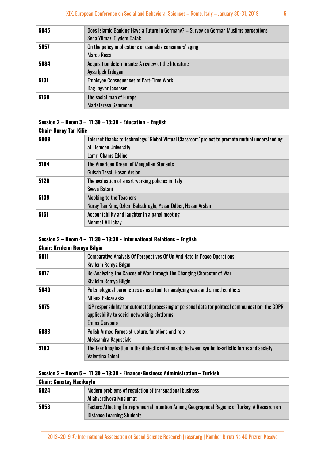| 5045 | Does Islamic Banking Have a Future in Germany? - Survey on German Muslims perceptions<br>Sena Yilmaz, Ciydem Catak |
|------|--------------------------------------------------------------------------------------------------------------------|
|      |                                                                                                                    |
| 5057 | On the policy implications of cannabis consumers' aging                                                            |
|      | <b>Marco Rossi</b>                                                                                                 |
| 5084 | Acquisition determinants: A review of the literature                                                               |
|      | Aysa Ipek Erdogan                                                                                                  |
| 5131 | <b>Employee Consequences of Part-Time Work</b>                                                                     |
|      | Dag Ingvar Jacobsen                                                                                                |
| 5150 | The social map of Europe                                                                                           |
|      | Mariateresa Gammone                                                                                                |
|      |                                                                                                                    |

#### **Session 2 – Room 3 – 11:30 – 13:30 - Education – English**

| 5009<br>Tolerant thanks to technology: 'Global Virtual Classroom' project to promote mutual understanding<br>at Tlemcen University<br>Lamri Chams Eddine<br>5104<br>The American Dream of Mongolian Students<br>Gulsah Tasci, Hasan Arslan<br>5120<br>The evaluation of smart working policies in Italy<br>Sveva Batani<br>5139<br><b>Mobbing to the Teachers</b><br>Nuray Tan Kılıc, Ozlem Bahadiroglu, Yasar Dilber, Hasan Arslan<br>Accountability and laughter in a panel meeting<br>5151<br>Mehmet Ali Icbay | <b>Chair: Nuray Tan Kilic</b> |  |  |
|-------------------------------------------------------------------------------------------------------------------------------------------------------------------------------------------------------------------------------------------------------------------------------------------------------------------------------------------------------------------------------------------------------------------------------------------------------------------------------------------------------------------|-------------------------------|--|--|
|                                                                                                                                                                                                                                                                                                                                                                                                                                                                                                                   |                               |  |  |
|                                                                                                                                                                                                                                                                                                                                                                                                                                                                                                                   |                               |  |  |
|                                                                                                                                                                                                                                                                                                                                                                                                                                                                                                                   |                               |  |  |
|                                                                                                                                                                                                                                                                                                                                                                                                                                                                                                                   |                               |  |  |
|                                                                                                                                                                                                                                                                                                                                                                                                                                                                                                                   |                               |  |  |
|                                                                                                                                                                                                                                                                                                                                                                                                                                                                                                                   |                               |  |  |
|                                                                                                                                                                                                                                                                                                                                                                                                                                                                                                                   |                               |  |  |
|                                                                                                                                                                                                                                                                                                                                                                                                                                                                                                                   |                               |  |  |
|                                                                                                                                                                                                                                                                                                                                                                                                                                                                                                                   |                               |  |  |
|                                                                                                                                                                                                                                                                                                                                                                                                                                                                                                                   |                               |  |  |
|                                                                                                                                                                                                                                                                                                                                                                                                                                                                                                                   |                               |  |  |

#### **Session 2 – Room 4 – 11:30 – 13:30 - International Relations – English**

| <b>Chair: Kıvılcım Romya Bilgin</b> |                                                                                                    |  |
|-------------------------------------|----------------------------------------------------------------------------------------------------|--|
| 5011                                | <b>Comparative Analysis Of Perspectives Of Un And Nato In Peace Operations</b>                     |  |
|                                     | Kıvılcım Romya Bilgin                                                                              |  |
| 5017                                | Re-Analyzing The Causes of War Through The Changing Character of War                               |  |
|                                     | Kivilcim Romya Bilgin                                                                              |  |
| 5040                                | Polemological barometres as as a tool for analyzing wars and armed conflicts                       |  |
|                                     | Milena Palczewska                                                                                  |  |
| 5075                                | ISP responsibility for automated processing of personal data for political communication: the GDPR |  |
|                                     | applicability to social networking platforms.                                                      |  |
|                                     | <b>Emma Garzonio</b>                                                                               |  |
| 5083                                | Polish Armed Forces structure, functions and role                                                  |  |
|                                     | Aleksandra Kapusciak                                                                               |  |
| 5103                                | The fear imagination in the dialectic relationship between symbolic-artistic forms and society     |  |
|                                     | Valentina Faloni                                                                                   |  |

#### **Session 2 – Room 5 – 11:30 – 13:30 - Finance/Business Administration – Turkish**

| <b>Chair: Canatay Hacikoylu</b> |                                                                                                 |  |
|---------------------------------|-------------------------------------------------------------------------------------------------|--|
| 5024                            | Modern problems of regulation of transnational business                                         |  |
|                                 | Allahverdiyeva Muslumat                                                                         |  |
| 5058                            | Factors Affecting Entrepreneurial Intention Among Geographical Regions of Turkey: A Research on |  |
|                                 | <b>Distance Learning Students</b>                                                               |  |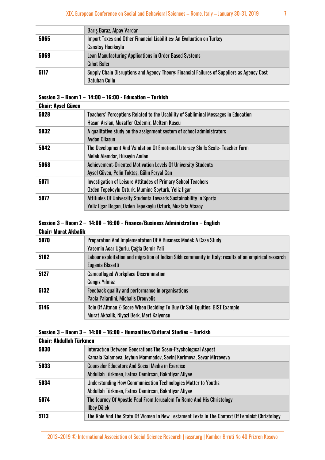|      | Barış Baraz, Alpay Vardar                                                                  |
|------|--------------------------------------------------------------------------------------------|
| 5065 | Import Taxes and Other Financial Liabilities: An Evaluation on Turkey                      |
|      | <b>Canatay Hacikoylu</b>                                                                   |
| 5069 | Lean Manufacturing Applications in Order Based Systems                                     |
|      | Cihat Balcı                                                                                |
| 5117 | Supply Chain Disruptions and Agency Theory: Financial Failures of Suppliers as Agency Cost |
|      | <b>Batuhan Cullu</b>                                                                       |

#### **Session 3 – Room 1 – 14:00 – 16:00 - Education – Turkish**

| <b>Chair: Aysel Güven</b> |                                                                                    |
|---------------------------|------------------------------------------------------------------------------------|
| 5028                      | Teachers' Perceptions Related to the Usability of Subliminal Messages in Education |
|                           | Hasan Arslan, Muzaffer Ozdemir, Meltem Kuscu                                       |
| 5032                      | A qualitative study on the assignment system of school administrators              |
|                           | <b>Aydan Cilasun</b>                                                               |
| 5042                      | The Development And Validation Of Emotional Literacy Skills Scale- Teacher Form    |
|                           | Melek Alemdar, Hüseyin Anılan                                                      |
| 5068                      | <b>Achievement-Oriented Motivation Levels Of University Students</b>               |
|                           | Aysel Güven, Pelin Toktaş, Gülin Feryal Can                                        |
| 5071                      | <b>Investigation of Leisure Attitudes of Primary School Teachers</b>               |
|                           | Ozden Tepekoylu Ozturk, Mumine Soyturk, Yeliz Ilgar                                |
| 5077                      | Attitudes Of University Students Towards Sustainability In Sports                  |
|                           | Yeliz Ilgar Dogan, Ozden Tepekoylu Ozturk, Mustafa Atasoy                          |

#### **Session 3 – Room 2 – 14:00 – 16:00 - Finance/Business Administration – English**

| <b>Chair: Murat Akbalik</b> |                                                                                                       |  |
|-----------------------------|-------------------------------------------------------------------------------------------------------|--|
| 5070                        | Preparation And Implementation Of A Business Model: A Case Study                                      |  |
|                             | Yasemin Acar Uğurlu, Çağla Demir Pali                                                                 |  |
| 5102                        | Labour exploitation and migration of Indian Sikh community in Italy: results of an empirical research |  |
|                             | Eugenia Blasetti                                                                                      |  |
| 5127                        | <b>Camouflaged Workplace Discrimination</b>                                                           |  |
|                             | <b>Cengiz Yılmaz</b>                                                                                  |  |
| 5132                        | Feedback quality and performance in organisations                                                     |  |
|                             | Paola Paiardini, Michalis Drouvelis                                                                   |  |
| 5146                        | Role Of Altman Z-Score When Deciding To Buy Or Sell Equities: BIST Example                            |  |
|                             | Murat Akbalik, Niyazi Berk, Mert Kalyoncu                                                             |  |

#### **Session 3 – Room 3 – 14:00 – 16:00 - Humanities/Cultural Studies – Turkish**

| <b>Chair: Abdullah Türkmen</b> |                                                                                               |
|--------------------------------|-----------------------------------------------------------------------------------------------|
| 5030                           | Interaction Between Generations: The Sosio-Psychological Aspest                               |
|                                | Kamala Salamova, Jeyhun Mammadov, Sevinj Kerimova, Sevar Mirzoyeva                            |
| 5033                           | <b>Counselor Educators And Social Media in Exercise</b>                                       |
|                                | Abdullah Türkmen, Fatma Demircan, Bakhtiyar Aliyev                                            |
| 5034                           | Understanding How Communication Technologies Matter to Youths                                 |
|                                | Abdullah Türkmen, Fatma Demircan, Bakhtiyar Aliyev                                            |
| 5074                           | The Journey Of Apostle Paul From Jerusalem To Rome And His Christology                        |
|                                | <b>Ilbey Dölek</b>                                                                            |
| 5113                           | The Role And The Statu Of Women In New Testament Texts In The Context Of Feminist Christology |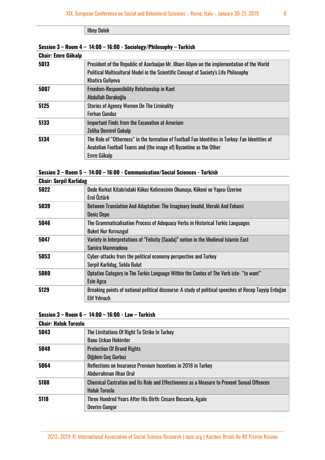Ilbey Dolek

| Session $3 -$ Room $4 - 14:00 - 16:00 -$ Sociology/Philosophy - Turkish |  |
|-------------------------------------------------------------------------|--|
|-------------------------------------------------------------------------|--|

| <b>Chair: Emre Gökalp</b> |                                                                                                                                                                                     |
|---------------------------|-------------------------------------------------------------------------------------------------------------------------------------------------------------------------------------|
| 5013                      | President of the Republic of Azerbaijan Mr. Ilham Aliyev on the implementation of the World<br>Political Multicultural Model in the Scientific Concept of Society's Life Philosophy |
|                           | <b>Khatira Guliyeva</b>                                                                                                                                                             |
| 5007                      | Freedom-Responsibility Relationship in Kant                                                                                                                                         |
|                           | Abdullah Durakoğlu                                                                                                                                                                  |
| 5125                      | <b>Stories of Agency Women On The Liminality</b>                                                                                                                                    |
|                           | <b>Ferhan Gunduz</b>                                                                                                                                                                |
| 5133                      | Important Finds from the Excavation at Amorium                                                                                                                                      |
|                           | <b>Zeliha Demirel Gokalp</b>                                                                                                                                                        |
| 5134                      | The Role of "Otherness" in the formation of Football Fan Identities in Turkey: Fan Identities of                                                                                    |
|                           | Anatolian Football Teams and (the image of) Byzantine as the Other                                                                                                                  |
|                           | Emre Gökalp                                                                                                                                                                         |

|  |  |  | Session 3 – Room 5 – 14:00 – 16:00 - Communication/Social Sciences - Turkish |
|--|--|--|------------------------------------------------------------------------------|
|--|--|--|------------------------------------------------------------------------------|

| <b>Chair: Serpil Karlidag</b> |                                                                                                        |  |
|-------------------------------|--------------------------------------------------------------------------------------------------------|--|
| 5022                          | Dede Korkut Kitabı'ndaki Kökez Kelimesinin Okunuşu, Kökeni ve Yapısı Üzerine                           |  |
|                               | Erol Öztürk                                                                                            |  |
| 5039                          | Between Translation And Adaptation: The Imaginary Invalid, Meraki And Evhami                           |  |
|                               | <b>Deniz Depe</b>                                                                                      |  |
| 5046                          | The Grammaticalisation Process of Adequacy Verbs in Historical Turkic Languages                        |  |
|                               | <b>Buket Nur Kırmızıgul</b>                                                                            |  |
| 5047                          | Variety in Interpretations of "Felicity (Saada)" notion in the Medieval Islamic East                   |  |
|                               | Samira Mammadova                                                                                       |  |
| 5053                          | Cyber-attacks from the political economy perspective and Turkey                                        |  |
|                               | Serpil Karlidag, Selda Bulut                                                                           |  |
| 5080                          | Optative Category in The Turkic Language Within the Contex of The Verb iste- "to want"                 |  |
|                               | Esin Agca                                                                                              |  |
| 5129                          | Breaking points of national political discourse: A study of political speeches of Recep Tayyip Erdoğan |  |
|                               | <b>Elif Yılmazlı</b>                                                                                   |  |

#### **Session 3 – Room 6 – 14:00 – 16:00 - Law – Turkish**

| <b>Chair: Haluk Toroslu</b> |                                                                                            |
|-----------------------------|--------------------------------------------------------------------------------------------|
| 5043                        | The Limitations Of Right To Strike In Turkey                                               |
|                             | <b>Banu Uckan Hekimler</b>                                                                 |
| 5048                        | <b>Protection Of Brand Rights</b>                                                          |
|                             | Diğdem Goç Gurbuz                                                                          |
| 5064                        | Reflections on Insurance Premium Incentives in 2018 in Turkey                              |
|                             | Abdurrahman Ilhan Oral                                                                     |
| 5108                        | Chemical Castration and Its Role and Effectiveness as a Measure to Prevent Sexual Offences |
|                             | <b>Haluk Toroslu</b>                                                                       |
| 5118                        | Three Hundred Years After His Birth: Cesare Beccaria, Again                                |
|                             | <b>Devrim Gungor</b>                                                                       |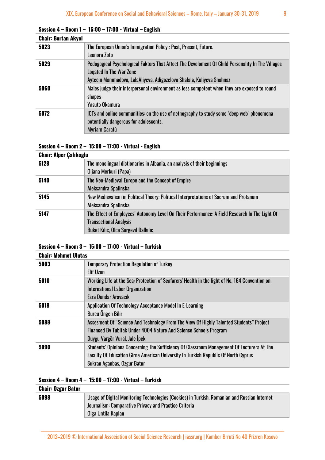| <b>Chair: Bertan Akyol</b> |                                                                                                   |
|----------------------------|---------------------------------------------------------------------------------------------------|
| 5023                       | The European Union's Immigration Policy: Past, Present, Future.                                   |
|                            | Leonora Zoto                                                                                      |
| 5029                       | Pedogogical Psychological Faktors That Affect The Develoment Of Child Personality In The Villages |
|                            | Logated In The War Zone                                                                           |
|                            | Aytecin Mammadova, LalaAliyeva, Adigozelova Shalala, Kuliyeva Shahnaz                             |
| 5060                       | Males judge their interpersonal environment as less competent when they are exposed to round      |
|                            | shapes                                                                                            |
|                            | <b>Yasuto Okamura</b>                                                                             |
| 5072                       | ICTs and online communities: on the use of netnography to study some "deep web" phenomena         |
|                            | potentially dangerous for adolescents.                                                            |
|                            | Myriam Caratù                                                                                     |
|                            |                                                                                                   |

#### **Session 4 – Room 1 – 15:00 – 17:00 - Virtual – English**

#### **Session 4 – Room 2 – 15:00 – 17:00 - Virtual - English**

| <b>Chair: Alper Çalıkoglu</b> |                                                                                                |
|-------------------------------|------------------------------------------------------------------------------------------------|
| 5128                          | The monolingual dictionaries in Albania, an analysis of their beginnings                       |
|                               | Oljana Merkuri (Papa)                                                                          |
| 5140                          | The Neo-Medieval Europe and the Concept of Empire                                              |
|                               | Aleksandra Spalinska                                                                           |
| 5145                          | New Medievalism in Political Theory: Political Interpretations of Sacrum and Profanum          |
|                               | Aleksandra Spalinska                                                                           |
| 5147                          | The Effect of Employees' Autonomy Level On Their Performance: A Field Research In The Light Of |
|                               | <b>Transactional Analysis</b>                                                                  |
|                               | <b>Buket Kilic, Olca Surgevil Dalkilic</b>                                                     |

#### **Session 4 – Room 3 – 15:00 – 17:00 - Virtual – Turkish**

| <b>Chair: Mehmet Ulutas</b> |                                                                                                |
|-----------------------------|------------------------------------------------------------------------------------------------|
| 5003                        | <b>Temporary Protection Regulation of Turkey</b>                                               |
|                             | <b>Elif Uzun</b>                                                                               |
| 5010                        | Working Life at the Sea: Protection of Seafarers' Health in the light of No. 164 Convention on |
|                             | International Labor Organization                                                               |
|                             | Esra Dundar Aravacık                                                                           |
| 5018                        | Application Of Technology Acceptance Model In E-Learning                                       |
|                             | <b>Burcu Öngen Bilir</b>                                                                       |
| 5088                        | Assesment Of "Science And Technology From The View Of Highly Talented Students" Project        |
|                             | Financed By Tubitak Under 4004 Nature And Science Schools Program                              |
|                             | Duygu Vargör Vural, Jale İpek                                                                  |
| 5090                        | Students' Opinions Concerning The Sufficiency Of Classroom Management Of Lecturers At The      |
|                             | Faculty Of Education Girne American University In Turkish Republic Of North Cyprus             |
|                             | Sukran Aganbas, Ozgur Batur                                                                    |
|                             |                                                                                                |

#### **Session 4 – Room 4 – 15:00 – 17:00 - Virtual – Turkish**

#### **Chair: Ozgur Batur**

| 5098 | Usage of Digital Monitoring Technologies (Cookies) in Turkish, Romanian and Russian Internet |
|------|----------------------------------------------------------------------------------------------|
|      | Journalism: Comparative Privacy and Practice Criteria                                        |
|      | Olga Untila Kaplan                                                                           |